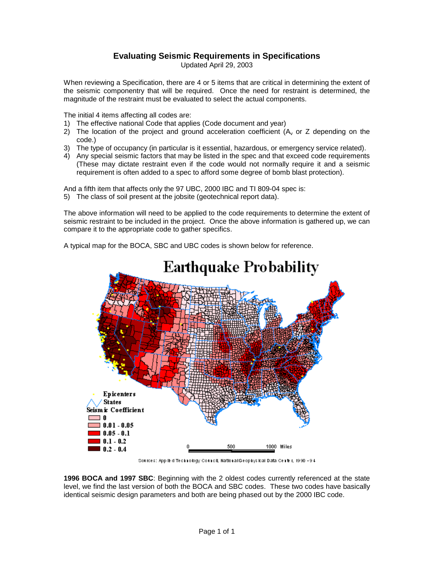# **Evaluating Seismic Requirements in Specifications**

Updated April 29, 2003

When reviewing a Specification, there are 4 or 5 items that are critical in determining the extent of the seismic componentry that will be required. Once the need for restraint is determined, the magnitude of the restraint must be evaluated to select the actual components.

The initial 4 items affecting all codes are:

- 1) The effective national Code that applies (Code document and year)
- 2) The location of the project and ground acceleration coefficient  $(A<sub>v</sub>$  or Z depending on the code.)
- 3) The type of occupancy (in particular is it essential, hazardous, or emergency service related).
- 4) Any special seismic factors that may be listed in the spec and that exceed code requirements (These may dictate restraint even if the code would not normally require it and a seismic requirement is often added to a spec to afford some degree of bomb blast protection).

And a fifth item that affects only the 97 UBC, 2000 IBC and TI 809-04 spec is:

5) The class of soil present at the jobsite (geotechnical report data).

The above information will need to be applied to the code requirements to determine the extent of seismic restraint to be included in the project. Once the above information is gathered up, we can compare it to the appropriate code to gather specifics.

A typical map for the BOCA, SBC and UBC codes is shown below for reference.



Sources: Applied Technology Connoll, National Geophysical Data Center, 1990 - 94

**1996 BOCA and 1997 SBC**: Beginning with the 2 oldest codes currently referenced at the state level, we find the last version of both the BOCA and SBC codes. These two codes have basically identical seismic design parameters and both are being phased out by the 2000 IBC code.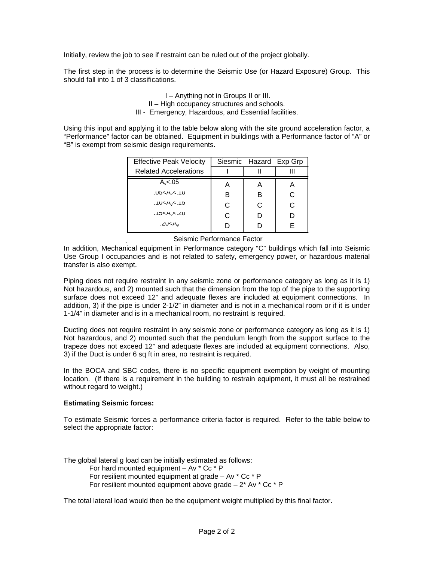Initially, review the job to see if restraint can be ruled out of the project globally.

The first step in the process is to determine the Seismic Use (or Hazard Exposure) Group. This should fall into 1 of 3 classifications.

> I – Anything not in Groups II or III. II – High occupancy structures and schools. III - Emergency, Hazardous, and Essential facilities.

Using this input and applying it to the table below along with the site ground acceleration factor, a "Performance" factor can be obtained. Equipment in buildings with a Performance factor of "A" or "B" is exempt from seismic design requirements.

| <b>Effective Peak Velocity</b> | Siesmic Hazard Exp Grp |   |   |  |
|--------------------------------|------------------------|---|---|--|
| <b>Related Accelerations</b>   |                        |   |   |  |
| $A_v < .05$                    | А                      | Α | A |  |
| U5 < A <sub>v</sub> < 10       | R                      | в | C |  |
| .1U <a<sub>v&lt;.15</a<sub>    | C                      | C | C |  |
| .15 <a<sub>v&lt;.20</a<sub>    | C                      | D | D |  |
| .ZU <a<sub>v</a<sub>           |                        |   | F |  |

Seismic Performance Factor

. In addition, Mechanical equipment in Performance category "C" buildings which fall into Seismic Use Group I occupancies and is not related to safety, emergency power, or hazardous material transfer is also exempt.

Piping does not require restraint in any seismic zone or performance category as long as it is 1) Not hazardous, and 2) mounted such that the dimension from the top of the pipe to the supporting surface does not exceed 12" and adequate flexes are included at equipment connections. In addition, 3) if the pipe is under 2-1/2" in diameter and is not in a mechanical room or if it is under 1-1/4" in diameter and is in a mechanical room, no restraint is required.

Ducting does not require restraint in any seismic zone or performance category as long as it is 1) Not hazardous, and 2) mounted such that the pendulum length from the support surface to the trapeze does not exceed 12" and adequate flexes are included at equipment connections. Also, 3) if the Duct is under 6 sq ft in area, no restraint is required.

In the BOCA and SBC codes, there is no specific equipment exemption by weight of mounting location. (If there is a requirement in the building to restrain equipment, it must all be restrained without regard to weight.)

# **Estimating Seismic forces:**

To estimate Seismic forces a performance criteria factor is required. Refer to the table below to select the appropriate factor:

The global lateral g load can be initially estimated as follows:

For hard mounted equipment – Av \* Cc \* P

For resilient mounted equipment at grade – Av \* Cc \* P

For resilient mounted equipment above grade  $-2$ \* Av \* Cc \* P

The total lateral load would then be the equipment weight multiplied by this final factor.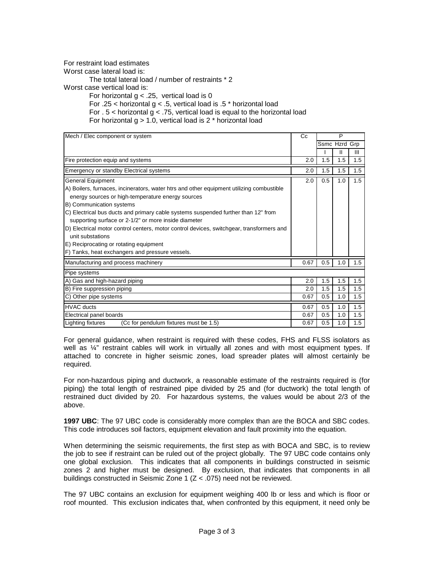For restraint load estimates

Worst case lateral load is:

The total lateral load / number of restraints \* 2

Worst case vertical load is:

For horizontal  $g < .25$ , vertical load is 0

For .25 < horizontal  $g < .5$ , vertical load is .5  $*$  horizontal load

For . 5 < horizontal g < .75, vertical load is equal to the horizontal load

For horizontal  $g > 1.0$ , vertical load is 2  $*$  horizontal load

| Mech / Elec component or system                                                                              | Cc   |     | P             |     |
|--------------------------------------------------------------------------------------------------------------|------|-----|---------------|-----|
|                                                                                                              |      |     | Ssmc Hzrd Grp |     |
|                                                                                                              |      |     | Ш             | Ш   |
| Fire protection equip and systems                                                                            | 2.0  | 1.5 | 1.5           | 1.5 |
| <b>Emergency or standby Electrical systems</b>                                                               | 2.0  | 1.5 | 1.5           | 1.5 |
| <b>General Equipment</b>                                                                                     | 2.0  | 0.5 | 1.0           | 1.5 |
| A) Boilers, furnaces, incinerators, water htrs and other equipment utilizing combustible                     |      |     |               |     |
| energy sources or high-temperature energy sources                                                            |      |     |               |     |
| B) Communication systems                                                                                     |      |     |               |     |
| C) Electrical bus ducts and primary cable systems suspended further than 12" from                            |      |     |               |     |
| supporting surface or 2-1/2" or more inside diameter                                                         |      |     |               |     |
| D) Electrical motor control centers, motor control devices, switchgear, transformers and<br>unit substations |      |     |               |     |
| E) Reciprocating or rotating equipment                                                                       |      |     |               |     |
| F) Tanks, heat exchangers and pressure vessels.                                                              |      |     |               |     |
| Manufacturing and process machinery                                                                          | 0.67 | 0.5 | 1.0           | 1.5 |
| Pipe systems                                                                                                 |      |     |               |     |
| A) Gas and high-hazard piping                                                                                | 2.0  | 1.5 | 1.5           | 1.5 |
| B) Fire suppression piping                                                                                   | 2.0  | 1.5 | 1.5           | 1.5 |
| C) Other pipe systems                                                                                        | 0.67 | 0.5 | 1.0           | 1.5 |
| <b>HVAC</b> ducts                                                                                            | 0.67 | 0.5 | 1.0           | 1.5 |
| Electrical panel boards                                                                                      | 0.67 | 0.5 | 1.0           | 1.5 |
| Lighting fixtures<br>(Cc for pendulum fixtures must be 1.5)                                                  | 0.67 | 0.5 | 1.0           | 1.5 |

For general guidance, when restraint is required with these codes, FHS and FLSS isolators as well as  $\frac{1}{4}$ " restraint cables will work in virtually all zones and with most equipment types. If attached to concrete in higher seismic zones, load spreader plates will almost certainly be required.

For non-hazardous piping and ductwork, a reasonable estimate of the restraints required is (for piping) the total length of restrained pipe divided by 25 and (for ductwork) the total length of restrained duct divided by 20. For hazardous systems, the values would be about 2/3 of the above.

**1997 UBC**: The 97 UBC code is considerably more complex than are the BOCA and SBC codes. This code introduces soil factors, equipment elevation and fault proximity into the equation.

When determining the seismic requirements, the first step as with BOCA and SBC, is to review the job to see if restraint can be ruled out of the project globally. The 97 UBC code contains only one global exclusion. This indicates that all components in buildings constructed in seismic zones 2 and higher must be designed. By exclusion, that indicates that components in all buildings constructed in Seismic Zone 1 (Z < .075) need not be reviewed.

The 97 UBC contains an exclusion for equipment weighing 400 lb or less and which is floor or roof mounted. This exclusion indicates that, when confronted by this equipment, it need only be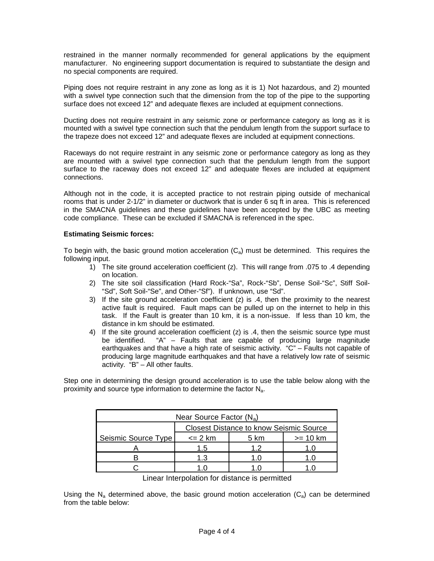restrained in the manner normally recommended for general applications by the equipment manufacturer. No engineering support documentation is required to substantiate the design and no special components are required.

Piping does not require restraint in any zone as long as it is 1) Not hazardous, and 2) mounted with a swivel type connection such that the dimension from the top of the pipe to the supporting surface does not exceed 12" and adequate flexes are included at equipment connections.

Ducting does not require restraint in any seismic zone or performance category as long as it is mounted with a swivel type connection such that the pendulum length from the support surface to the trapeze does not exceed 12" and adequate flexes are included at equipment connections.

Raceways do not require restraint in any seismic zone or performance category as long as they are mounted with a swivel type connection such that the pendulum length from the support surface to the raceway does not exceed 12" and adequate flexes are included at equipment connections.

Although not in the code, it is accepted practice to not restrain piping outside of mechanical rooms that is under 2-1/2" in diameter or ductwork that is under 6 sq ft in area. This is referenced in the SMACNA guidelines and these guidelines have been accepted by the UBC as meeting code compliance. These can be excluded if SMACNA is referenced in the spec.

# **Estimating Seismic forces:**

To begin with, the basic ground motion acceleration  $(C_a)$  must be determined. This requires the following input.

- 1) The site ground acceleration coefficient (z). This will range from .075 to .4 depending on location.
- 2) The site soil classification (Hard Rock-"Sa", Rock-"Sb", Dense Soil-"Sc", Stiff Soil- "Sd", Soft Soil-"Se", and Other-"Sf"). If unknown, use "Sd".
- 3) If the site ground acceleration coefficient  $(z)$  is .4, then the proximity to the nearest active fault is required. Fault maps can be pulled up on the internet to help in this task. If the Fault is greater than 10 km, it is a non-issue. If less than 10 km, the distance in km should be estimated.
- 4) If the site ground acceleration coefficient (z) is .4, then the seismic source type must be identified. "A" – Faults that are capable of producing large magnitude earthquakes and that have a high rate of seismic activity. "C" – Faults not capable of producing large magnitude earthquakes and that have a relatively low rate of seismic activity. "B" – All other faults.

Step one in determining the design ground acceleration is to use the table below along with the proximity and source type information to determine the factor  $N_a$ .

| Near Source Factor $(N_a)$ |                                                |    |  |  |  |  |
|----------------------------|------------------------------------------------|----|--|--|--|--|
|                            | <b>Closest Distance to know Seismic Source</b> |    |  |  |  |  |
| Seismic Source Type        | $\leq$ 2 km<br>$>= 10 km$<br>5 km              |    |  |  |  |  |
|                            | 15                                             | 19 |  |  |  |  |
|                            | 1 3                                            |    |  |  |  |  |
|                            |                                                |    |  |  |  |  |

Linear Interpolation for distance is permitted

Using the N<sub>a</sub> determined above, the basic ground motion acceleration ( $C_a$ ) can be determined from the table below: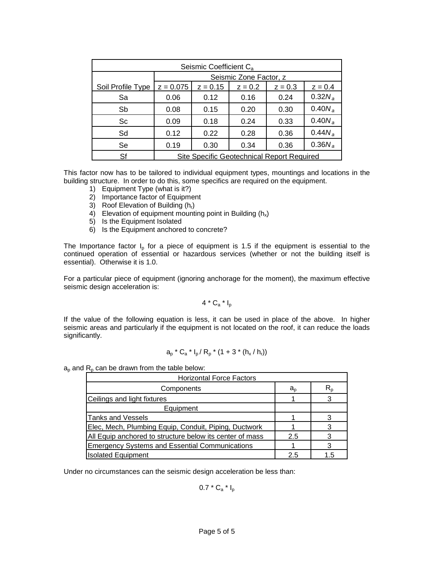| Seismic Coefficient C <sub>a</sub> |                                                   |            |                        |           |           |
|------------------------------------|---------------------------------------------------|------------|------------------------|-----------|-----------|
|                                    |                                                   |            | Seismic Zone Factor, z |           |           |
| Soil Profile Type                  | $z = 0.075$                                       | $z = 0.15$ | $z = 0.2$              | $z = 0.3$ | $z = 0.4$ |
| Sa                                 | 0.06                                              | 0.12       | 0.16                   | 0.24      | $0.32N_a$ |
| Sb                                 | 0.08                                              | 0.15       | 0.20                   | 0.30      | $0.40N_a$ |
| Sc                                 | 0.09                                              | 0.18       | 0.24                   | 0.33      | $0.40N_a$ |
| Sd                                 | 0.12                                              | 0.22       | 0.28                   | 0.36      | $0.44N_a$ |
| Se                                 | 0.19                                              | 0.30       | 0.34                   | 0.36      | $0.36N_a$ |
| Sf                                 | <b>Site Specific Geotechnical Report Required</b> |            |                        |           |           |

This factor now has to be tailored to individual equipment types, mountings and locations in the building structure. In order to do this, some specifics are required on the equipment.

- 1) Equipment Type (what is it?)
- 2) Importance factor of Equipment
- 3) Roof Elevation of Building  $(h_r)$
- 4) Elevation of equipment mounting point in Building  $(h_x)$
- 5) Is the Equipment Isolated
- 6) Is the Equipment anchored to concrete?

The Importance factor  $I_p$  for a piece of equipment is 1.5 if the equipment is essential to the continued operation of essential or hazardous services (whether or not the building itself is essential). Otherwise it is 1.0.

For a particular piece of equipment (ignoring anchorage for the moment), the maximum effective seismic design acceleration is:

 $4 * C_a * I_p$ 

If the value of the following equation is less, it can be used in place of the above. In higher seismic areas and particularly if the equipment is not located on the roof, it can reduce the loads significantly.

$$
a_p * C_a * I_p / R_p * (1 + 3 * (h_x / h_r))
$$

 $a_p$  and  $R_p$  can be drawn from the table below:

| <b>Horizontal Force Factors</b>                          |             |    |  |
|----------------------------------------------------------|-------------|----|--|
| Components                                               | $a_{\rm o}$ |    |  |
| Ceilings and light fixtures                              |             |    |  |
| Equipment                                                |             |    |  |
| <b>Tanks and Vessels</b>                                 |             |    |  |
| Elec, Mech, Plumbing Equip, Conduit, Piping, Ductwork    |             |    |  |
| All Equip anchored to structure below its center of mass | 2.5         |    |  |
| <b>Emergency Systems and Essential Communications</b>    |             |    |  |
| <b>Isolated Equipment</b>                                | 25          | 15 |  |

Under no circumstances can the seismic design acceleration be less than:

 $0.7 * C_a * I_p$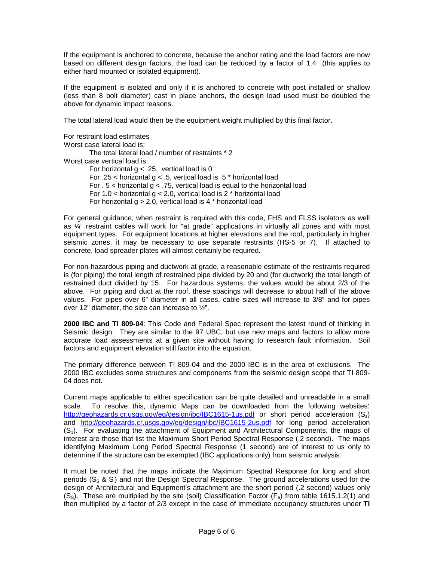If the equipment is anchored to concrete, because the anchor rating and the load factors are now based on different design factors, the load can be reduced by a factor of 1.4 (this applies to either hard mounted or isolated equipment).

If the equipment is isolated and only if it is anchored to concrete with post installed or shallow (less than 8 bolt diameter) cast in place anchors, the design load used must be doubled the above for dynamic impact reasons.

The total lateral load would then be the equipment weight multiplied by this final factor.

For restraint load estimates Worst case lateral load is: The total lateral load / number of restraints \* 2 Worst case vertical load is: For horizontal  $q < .25$ , vertical load is 0 For .25 < horizontal  $g < .5$ , vertical load is .5  $*$  horizontal load For . 5 < horizontal g < .75, vertical load is equal to the horizontal load For 1.0 < horizontal  $q$  < 2.0, vertical load is 2  $*$  horizontal load For horizontal  $q > 2.0$ , vertical load is 4  $*$  horizontal load

For general guidance, when restraint is required with this code, FHS and FLSS isolators as well as ¼" restraint cables will work for "at grade" applications in virtually all zones and with most equipment types. For equipment locations at higher elevations and the roof, particularly in higher seismic zones, it may be necessary to use separate restraints (HS-5 or 7). If attached to concrete, load spreader plates will almost certainly be required.

For non-hazardous piping and ductwork at grade, a reasonable estimate of the restraints required is (for piping) the total length of restrained pipe divided by 20 and (for ductwork) the total length of restrained duct divided by 15. For hazardous systems, the values would be about 2/3 of the above. For piping and duct at the roof, these spacings will decrease to about half of the above values. For pipes over 6" diameter in all cases, cable sizes will increase to 3/8" and for pipes over 12" diameter, the size can increase to  $\frac{1}{2}$ ".

**2000 IBC and TI 809-04**: This Code and Federal Spec represent the latest round of thinking in Seismic design. They are similar to the 97 UBC, but use new maps and factors to allow more accurate load assessments at a given site without having to research fault information. Soil factors and equipment elevation still factor into the equation.

The primary difference between TI 809-04 and the 2000 IBC is in the area of exclusions. The 2000 IBC excludes some structures and components from the seismic design scope that TI 809- 04 does not.

Current maps applicable to either specification can be quite detailed and unreadable in a small scale. To resolve this, dynamic Maps can be downloaded from the following websites: http://geohazards.cr.usgs.gov/eg/design/ibc/IBC1615-1us.pdf or short period acceleration (Ss) and http://geohazards.cr.usgs.gov/eq/design/ibc/IBC1615-2us.pdf for long period acceleration  $(S<sub>1</sub>)$ . For evaluating the attachment of Equipment and Architectural Components, the maps of interest are those that list the Maximum Short Period Spectral Response (.2 second). The maps identifying Maximum Long Period Spectral Response (1 second) are of interest to us only to determine if the structure can be exempted (IBC applications only) from seismic analysis.

It must be noted that the maps indicate the Maximum Spectral Response for long and short periods  $(S_S \& S_i)$  and not the Design Spectral Response. The ground accelerations used for the design of Architectural and Equipment's attachment are the short period (.2 second) values only  $(S<sub>s</sub>)$ . These are multiplied by the site (soil) Classification Factor ( $F<sub>a</sub>$ ) from table 1615.1.2(1) and then multiplied by a factor of 2/3 except in the case of immediate occupancy structures under **TI**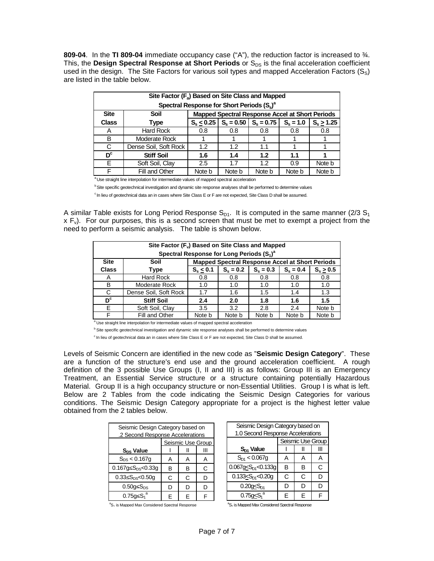**809-04**. In the **TI 809-04** immediate occupancy case ("A"), the reduction factor is increased to ¾. This, the Design Spectral Response at Short Periods or S<sub>DS</sub> is the final acceleration coefficient used in the design. The Site Factors for various soil types and mapped Acceleration Factors  $(S_S)$ are listed in the table below.

|              | Site Factor (F <sub>a</sub> ) Based on Site Class and Mapped |                                                          |        |                                                 |        |              |
|--------------|--------------------------------------------------------------|----------------------------------------------------------|--------|-------------------------------------------------|--------|--------------|
|              | Spectral Response for Short Periods $(S_s)^a$                |                                                          |        |                                                 |        |              |
| <b>Site</b>  | Soil                                                         |                                                          |        | Mapped Spectral Response Accel at Short Periods |        |              |
| <b>Class</b> | <b>Type</b>                                                  | $S_s < 0.25$   $S_s = 0.50$   $S_s = 0.75$   $S_s = 1.0$ |        |                                                 |        | $S_s > 1.25$ |
| A            | <b>Hard Rock</b>                                             | 0.8                                                      | 0.8    | 0.8                                             | 0.8    | 0.8          |
| B            | Moderate Rock                                                |                                                          |        |                                                 |        |              |
| C            | Dense Soil, Soft Rock                                        | 1.2                                                      | 1.2    | 1.1                                             |        |              |
| $D_{c}$      | <b>Stiff Soil</b>                                            | 1.6                                                      | 1.4    | 1.2                                             | 1.1    |              |
| F            | Soft Soil, Clay                                              | 2.5                                                      | 1.7    | 1.2 <sub>2</sub>                                | 0.9    | Note b       |
|              | Fill and Other                                               | Note b                                                   | Note b | Note b                                          | Note b | Note b       |

<sup>a</sup> Use straight line interpolation for intermediate values of mapped spectral acceleration

**b** Site specific geotechnical investigation and dynamic site response analyses shall be performed to determine values <sup>c</sup> In lieu of geotechnical data an in cases where Site Class E or F are not expected, Site Class D shall be assumed.

A similar Table exists for Long Period Response  $S_{D1}$ . It is computed in the same manner (2/3  $S_1$ )  $x F_v$ ). For our purposes, this is a second screen that must be met to exempt a project from the need to perform a seismic analysis. The table is shown below.

|              | Site Factor (F <sub>v</sub> ) Based on Site Class and Mapped |                                                                             |                                                        |        |        |        |  |
|--------------|--------------------------------------------------------------|-----------------------------------------------------------------------------|--------------------------------------------------------|--------|--------|--------|--|
|              | Spectral Response for Long Periods $(S_1)^a$                 |                                                                             |                                                        |        |        |        |  |
| <b>Site</b>  | Soil                                                         |                                                                             | <b>Mapped Spectral Response Accel at Short Periods</b> |        |        |        |  |
| <b>Class</b> | Type                                                         | $S_e = 0.3$<br>$S_e = 0.4$<br>$S_{s} > 0.5$<br>$S_{s}$ < 0.1<br>$S_e = 0.2$ |                                                        |        |        |        |  |
| A            | Hard Rock                                                    | 0.8                                                                         | 0.8                                                    | 0.8    | 0.8    | 0.8    |  |
| B            | Moderate Rock                                                | 1.0                                                                         | 1.0                                                    | 1.0    | 1.0    | 1.0    |  |
| C            | Dense Soil, Soft Rock                                        | 1.7                                                                         | 1.6                                                    | 1.5    | 1.4    | 1.3    |  |
| $D_{\rm c}$  | <b>Stiff Soil</b>                                            | 2.4                                                                         | 2.0                                                    | 1.8    | 1.6    | 1.5    |  |
| Е            | Soft Soil, Clay                                              | 3.5                                                                         | 3.2                                                    | 2.8    | 2.4    | Note b |  |
| F            | Fill and Other                                               | Note b                                                                      | Note b                                                 | Note b | Note b | Note b |  |

<sup>a</sup> Use straight line interpolation for intermediate values of mapped spectral acceleration

<sup>b</sup> Site specific geotechnical investigation and dynamic site response analyses shall be performed to determine values

<sup>c</sup> In lieu of geotechnical data an in cases where Site Class E or F are not expected, Site Class D shall be assumed.

Levels of Seismic Concern are identified in the new code as "**Seismic Design Category**". These are a function of the structure's end use and the ground acceleration coefficient. A rough definition of the 3 possible Use Groups (I, II and III) is as follows: Group III is an Emergency Treatment, an Essential Service structure or a structure containing potentially Hazardous Material. Group II is a high occupancy structure or non-Essential Utilities. Group I is what is left. Below are 2 Tables from the code indicating the Seismic Design Categories for various conditions. The Seismic Design Category appropriate for a project is the highest letter value obtained from the 2 tables below.

| Seismic Design Category based on |   |   |   |  |
|----------------------------------|---|---|---|--|
| .2 Second Response Accelerations |   |   |   |  |
| Seismic Use Group                |   |   |   |  |
| S <sub>DS</sub> Value            |   |   |   |  |
| $S_{DS}$ < 0.167g                | А | А |   |  |
| 0.167g $\leq S_{DS} \leq 0.33g$  | в | в | C |  |
| 0.33< $S_{DS}$ <0.50q            | C | C | D |  |
| $0.50q< S_{DS}$                  | n | n | n |  |
| $0.75g < S_1^a$                  |   |   |   |  |

| Seismic Design Category based on  |   |                   |   |  |
|-----------------------------------|---|-------------------|---|--|
| 1.0 Second Response Accelerations |   |                   |   |  |
|                                   |   | Seismic Use Group |   |  |
| S <sub>D1</sub> Value             |   |                   |   |  |
| $S_{D1}$ < 0.067g                 | А | А                 | А |  |
| 0.067g $\leq S_{D1} \leq 0.133g$  | B | в                 | C |  |
| $0.133 \le S_{D1} \le 0.209$      | C | C                 | D |  |
| $0.20q_{\leq}S_{D1}$              | D | D                 | n |  |
| $0.75q < S1$ <sup>a</sup>         | F | F                 |   |  |

<sup>a</sup>S<sub>1</sub> is Mapped Max Considered Spectral Response

<sup>a</sup>S<sub>1</sub> is Mapped Max Considered Spectral Response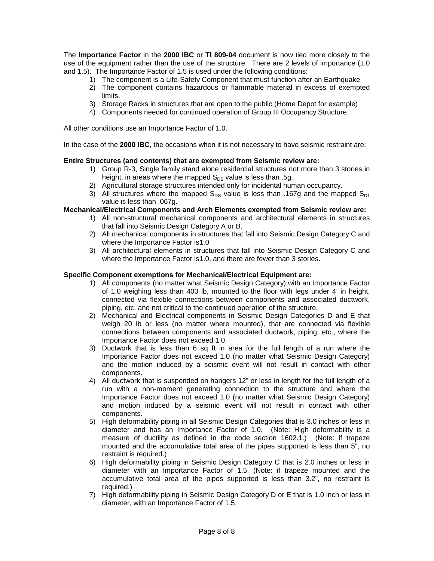The **Importance Factor** in the **2000 IBC** or **TI 809-04** document is now tied more closely to the use of the equipment rather than the use of the structure. There are 2 levels of importance (1.0 and 1.5). The Importance Factor of 1.5 is used under the following conditions:

- 1) The component is a Life-Safety Component that must function after an Earthquake
- 2) The component contains hazardous or flammable material in excess of exempted limits.
- 3) Storage Racks in structures that are open to the public (Home Depot for example)
- 4) Components needed for continued operation of Group III Occupancy Structure.

All other conditions use an Importance Factor of 1.0.

In the case of the **2000 IBC**, the occasions when it is not necessary to have seismic restraint are:

#### **Entire Structures (and contents) that are exempted from Seismic review are:**

- 1) Group R-3, Single family stand alone residential structures not more than 3 stories in height, in areas where the mapped  $S_{DS}$  value is less than .5g.
- 2) Agricultural storage structures intended only for incidental human occupancy.
- 3) All structures where the mapped  $S_{DS}$  value is less than .167g and the mapped  $S_{D1}$ value is less than .067g.

### **Mechanical/Electrical Components and Arch Elements exempted from Seismic review are:**

- 1) All non-structural mechanical components and architectural elements in structures that fall into Seismic Design Category A or B.
- 2) All mechanical components in structures that fall into Seismic Design Category C and where the Importance Factor is1.0
- 3) All architectural elements in structures that fall into Seismic Design Category C and where the Importance Factor is1.0, and there are fewer than 3 stories.

#### **Specific Component exemptions for Mechanical/Electrical Equipment are:**

- 1) All components (no matter what Seismic Design Category) with an Importance Factor of 1.0 weighing less than 400 lb, mounted to the floor with legs under 4' in height, connected via flexible connections between components and associated ductwork, piping, etc. and not critical to the continued operation of the structure.
- 2) Mechanical and Electrical components in Seismic Design Categories D and E that weigh 20 lb or less (no matter where mounted), that are connected via flexible connections between components and associated ductwork, piping, etc., where the Importance Factor does not exceed 1.0.
- 3) Ductwork that is less than 6 sq ft in area for the full length of a run where the Importance Factor does not exceed 1.0 (no matter what Seismic Design Category) and the motion induced by a seismic event will not result in contact with other components.
- 4) All ductwork that is suspended on hangers 12" or less in length for the full length of a run with a non-moment generating connection to the structure and where the Importance Factor does not exceed 1.0 (no matter what Seismic Design Category) and motion induced by a seismic event will not result in contact with other components.
- 5) High deformability piping in all Seismic Design Categories that is 3.0 inches or less in diameter and has an Importance Factor of 1.0. (Note: High deformability is a measure of ductility as defined in the code section 1602.1.) (Note: if trapeze mounted and the accumulative total area of the pipes supported is less than 5", no restraint is required.)
- 6) High deformability piping in Seismic Design Category C that is 2.0 inches or less in diameter with an Importance Factor of 1.5. (Note: if trapeze mounted and the accumulative total area of the pipes supported is less than 3.2", no restraint is required.)
- 7) High deformability piping in Seismic Design Category D or E that is 1.0 inch or less in diameter, with an Importance Factor of 1.5.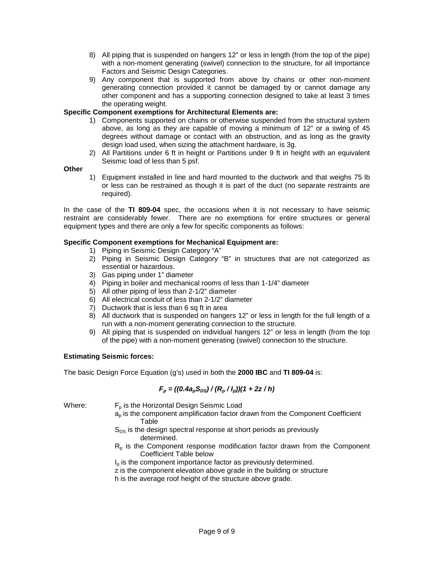- 8) All piping that is suspended on hangers 12" or less in length (from the top of the pipe) with a non-moment generating (swivel) connection to the structure, for all Importance Factors and Seismic Design Categories.
- 9) Any component that is supported from above by chains or other non-moment generating connection provided it cannot be damaged by or cannot damage any other component and has a supporting connection designed to take at least 3 times the operating weight.

# **Specific Component exemptions for Architectural Elements are:**

- 1) Components supported on chains or otherwise suspended from the structural system above, as long as they are capable of moving a minimum of 12" or a swing of 45 degrees without damage or contact with an obstruction, and as long as the gravity design load used, when sizing the attachment hardware, is 3g.
- 2) All Partitions under 6 ft in height or Partitions under 9 ft in height with an equivalent Seismic load of less than 5 psf.

# **Other**

1) Equipment installed in line and hard mounted to the ductwork and that weighs 75 lb or less can be restrained as though it is part of the duct (no separate restraints are required).

In the case of the **TI 809-04** spec, the occasions when it is not necessary to have seismic restraint are considerably fewer. There are no exemptions for entire structures or general equipment types and there are only a few for specific components as follows:

# **Specific Component exemptions for Mechanical Equipment are:**

- 1) Piping in Seismic Design Category "A"
- 2) Piping in Seismic Design Category "B" in structures that are not categorized as essential or hazardous.
- 3) Gas piping under 1" diameter
- 4) Piping in boiler and mechanical rooms of less than 1-1/4" diameter
- 5) All other piping of less than 2-1/2" diameter
- 6) All electrical conduit of less than 2-1/2" diameter
- 7) Ductwork that is less than 6 sq ft in area
- 8) All ductwork that is suspended on hangers 12" or less in length for the full length of a run with a non-moment generating connection to the structure.
- 9) All piping that is suspended on individual hangers 12" or less in length (from the top of the pipe) with a non-moment generating (swivel) connection to the structure.

### **Estimating Seismic forces:**

The basic Design Force Equation (g's) used in both the **2000 IBC** and **TI 809-04** is:

# $F_p = ((0.4a_pS_{DS})/(R_p/I_p)/(1+2z/h)$

Where:  $F_p$  is the Horizontal Design Seismic Load

- $a<sub>p</sub>$  is the component amplification factor drawn from the Component Coefficient Table
- $S_{DS}$  is the design spectral response at short periods as previously determined.
- $R<sub>p</sub>$  is the Component response modification factor drawn from the Component Coefficient Table below
- I<sub>p</sub> is the component importance factor as previously determined.
- z is the component elevation above grade in the building or structure
- h is the average roof height of the structure above grade.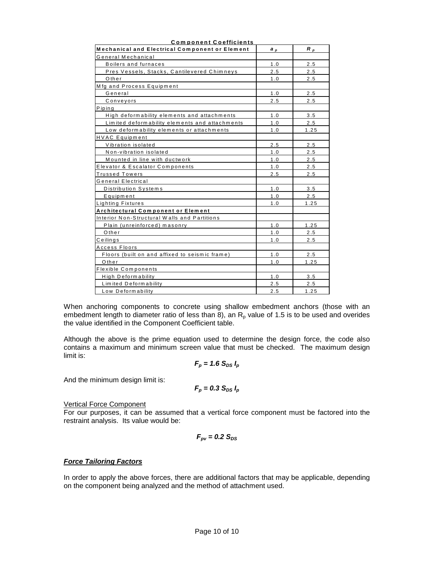| <u>Component Coemcients</u><br>Mechanical and Electrical Component or Element | a,  | $R_p$ |
|-------------------------------------------------------------------------------|-----|-------|
| General Mechanical                                                            |     |       |
| Boilers and furnaces                                                          | 1.0 | 2.5   |
| Pres Vessels, Stacks, Cantilevered Chimneys                                   | 2.5 | 2.5   |
| Other                                                                         | 1.0 | 2.5   |
| Mfg and Process Equipment                                                     |     |       |
| General                                                                       | 1.0 | 2.5   |
| Conveyors                                                                     | 2.5 | 2.5   |
| Piping                                                                        |     |       |
| High deformability elements and attachments                                   | 1.0 | 3.5   |
| Limited deformability elements and attachments                                | 1.0 | 2.5   |
| Low deformability elements or attachments                                     | 1.0 | 1.25  |
| <b>HVAC</b> Equipment                                                         |     |       |
| Vibration isolated                                                            | 2.5 | 2.5   |
| Non-vibration isolated                                                        | 1.0 | 2.5   |
| Mounted in line with ductwork                                                 | 1.0 | 2.5   |
| Elevator & Escalator Components                                               | 1.0 | 2.5   |
| <b>Trussed Towers</b>                                                         | 2.5 | 2.5   |
| General Electrical                                                            |     |       |
| Distribution Systems                                                          | 1.0 | 3.5   |
| Equipment                                                                     | 1.0 | 2.5   |
| Lighting Fixtures                                                             | 1.0 | 1.25  |
| Architectural Component or Element                                            |     |       |
| Interior Non-Structural Walls and Partitions                                  |     |       |
| Plain (unreinforced) masonry                                                  | 1.0 | 1.25  |
| Other                                                                         | 1.0 | 2.5   |
| Ceilings                                                                      | 1.0 | 2.5   |
| <b>Access Floors</b>                                                          |     |       |
| Floors (built on and affixed to seismic frame)                                | 1.0 | 2.5   |
| Other                                                                         | 1.0 | 1.25  |
| <b>Flexible Components</b>                                                    |     |       |
| High Deformability                                                            | 1.0 | 3.5   |
| Limited Deformability                                                         | 2.5 | 2.5   |
| Low Deformability                                                             | 2.5 | 1.25  |

**Com p onent Coefficients**

When anchoring components to concrete using shallow embedment anchors (those with an embedment length to diameter ratio of less than  $\overline{8}$ ), an R<sub>p</sub> value of 1.5 is to be used and overides the value identified in the Component Coefficient table.

Although the above is the prime equation used to determine the design force, the code also contains a maximum and minimum screen value that must be checked. The maximum design limit is:

$$
F_p = 1.6 S_{DS} I_p
$$

And the minimum design limit is:

$$
F_p = 0.3 S_{DS} I_p
$$

#### Vertical Force Component

For our purposes, it can be assumed that a vertical force component must be factored into the restraint analysis. Its value would be:

$$
F_{\rm pv} = 0.2~\rm S_{DS}
$$

#### *Force Tailoring Factors*

In order to apply the above forces, there are additional factors that may be applicable, depending on the component being analyzed and the method of attachment used.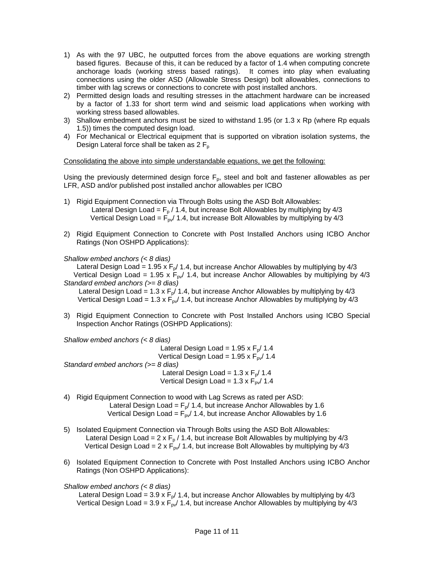- 1) As with the 97 UBC, he outputted forces from the above equations are working strength based figures. Because of this, it can be reduced by a factor of 1.4 when computing concrete anchorage loads (working stress based ratings). It comes into play when evaluating connections using the older ASD (Allowable Stress Design) bolt allowables, connections to timber with lag screws or connections to concrete with post installed anchors.
- 2) Permitted design loads and resulting stresses in the attachment hardware can be increased by a factor of 1.33 for short term wind and seismic load applications when working with working stress based allowables.
- 3) Shallow embedment anchors must be sized to withstand 1.95 (or 1.3 x Rp (where Rp equals 1.5)) times the computed design load.
- 4) For Mechanical or Electrical equipment that is supported on vibration isolation systems, the Design Lateral force shall be taken as  $2 F<sub>p</sub>$

Consolidating the above into simple understandable equations, we get the following:

Using the previously determined design force  $F_p$ , steel and bolt and fastener allowables as per LFR, ASD and/or published post installed anchor allowables per ICBO

- 1) Rigid Equipment Connection via Through Bolts using the ASD Bolt Allowables: Lateral Design Load =  $F_p$  / 1.4, but increase Bolt Allowables by multiplying by 4/3 Vertical Design Load =  $F_{\text{pv}}/1.4$ , but increase Bolt Allowables by multiplying by 4/3
- 2) Rigid Equipment Connection to Concrete with Post Installed Anchors using ICBO Anchor Ratings (Non OSHPD Applications):

#### *Shallow embed anchors (< 8 dias)*

Lateral Design Load = 1.95 x  $F_p/$  1.4, but increase Anchor Allowables by multiplying by 4/3 Vertical Design Load = 1.95 x  $F_{py}$ / 1.4, but increase Anchor Allowables by multiplying by 4/3 *Standard embed anchors (>= 8 dias)* 

Lateral Design Load = 1.3 x  $F_p/$  1.4, but increase Anchor Allowables by multiplying by 4/3 Vertical Design Load = 1.3 x  $F_{pv}$ / 1.4, but increase Anchor Allowables by multiplying by 4/3

3) Rigid Equipment Connection to Concrete with Post Installed Anchors using ICBO Special Inspection Anchor Ratings (OSHPD Applications):

*Shallow embed anchors (< 8 dias)* 

Lateral Design Load =  $1.95 \times F_p / 1.4$ Vertical Design Load =  $1.95 \times F_{\text{pv}}/ 1.4$ *Standard embed anchors (>= 8 dias)*  Lateral Design Load =  $1.3 \times F_p / 1.4$ Vertical Design Load =  $1.3 \times F_{\text{pv}}/1.4$ 

- 4) Rigid Equipment Connection to wood with Lag Screws as rated per ASD: Lateral Design Load =  $F_p/$  1.4, but increase Anchor Allowables by 1.6 Vertical Design Load =  $F_{pv}/ 1.4$ , but increase Anchor Allowables by 1.6
- 5) Isolated Equipment Connection via Through Bolts using the ASD Bolt Allowables: Lateral Design Load =  $2 \times F_p / 1.4$ , but increase Bolt Allowables by multiplying by 4/3 Vertical Design Load = 2 x  $F_{pv}$  1.4, but increase Bolt Allowables by multiplying by 4/3
- 6) Isolated Equipment Connection to Concrete with Post Installed Anchors using ICBO Anchor Ratings (Non OSHPD Applications):

### *Shallow embed anchors (< 8 dias)*

Lateral Design Load =  $3.9 \times F_p/ 1.4$ , but increase Anchor Allowables by multiplying by  $4/3$ Vertical Design Load = 3.9 x  $F_{pv}$ / 1.4, but increase Anchor Allowables by multiplying by 4/3